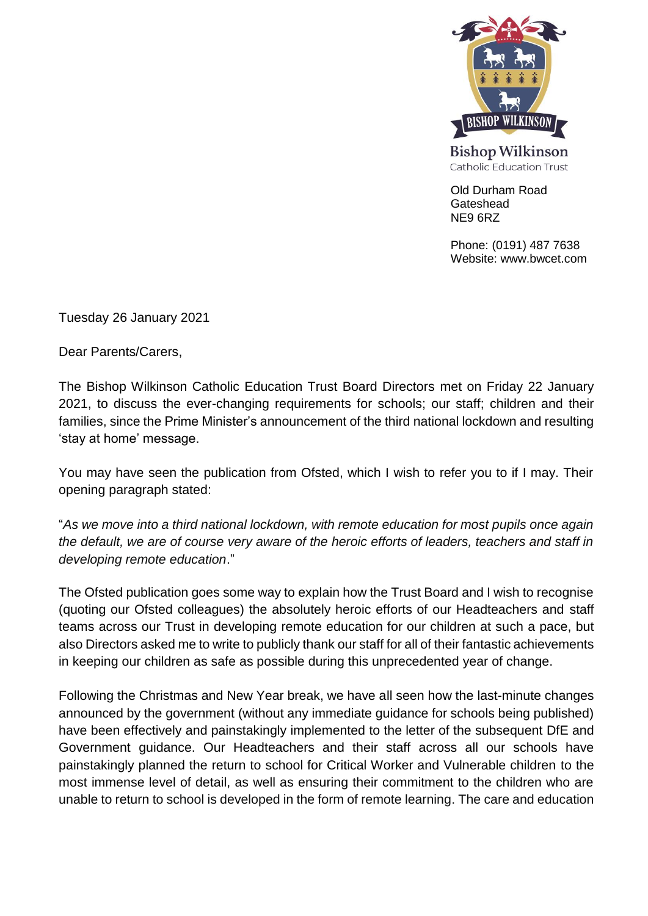

Old Durham Road **Gateshead** NE9 6RZ

Phone: (0191) 487 7638 Website: www.bwcet.com

Tuesday 26 January 2021

Dear Parents/Carers,

The Bishop Wilkinson Catholic Education Trust Board Directors met on Friday 22 January 2021, to discuss the ever-changing requirements for schools; our staff; children and their families, since the Prime Minister's announcement of the third national lockdown and resulting 'stay at home' message.

You may have seen the publication from Ofsted, which I wish to refer you to if I may. Their opening paragraph stated:

"*As we move into a third national lockdown, with remote education for most pupils once again the default, we are of course very aware of the heroic efforts of leaders, teachers and staff in developing remote education*."

The Ofsted publication goes some way to explain how the Trust Board and I wish to recognise (quoting our Ofsted colleagues) the absolutely heroic efforts of our Headteachers and staff teams across our Trust in developing remote education for our children at such a pace, but also Directors asked me to write to publicly thank our staff for all of their fantastic achievements in keeping our children as safe as possible during this unprecedented year of change.

Following the Christmas and New Year break, we have all seen how the last-minute changes announced by the government (without any immediate guidance for schools being published) have been effectively and painstakingly implemented to the letter of the subsequent DfE and Government guidance. Our Headteachers and their staff across all our schools have painstakingly planned the return to school for Critical Worker and Vulnerable children to the most immense level of detail, as well as ensuring their commitment to the children who are unable to return to school is developed in the form of remote learning. The care and education